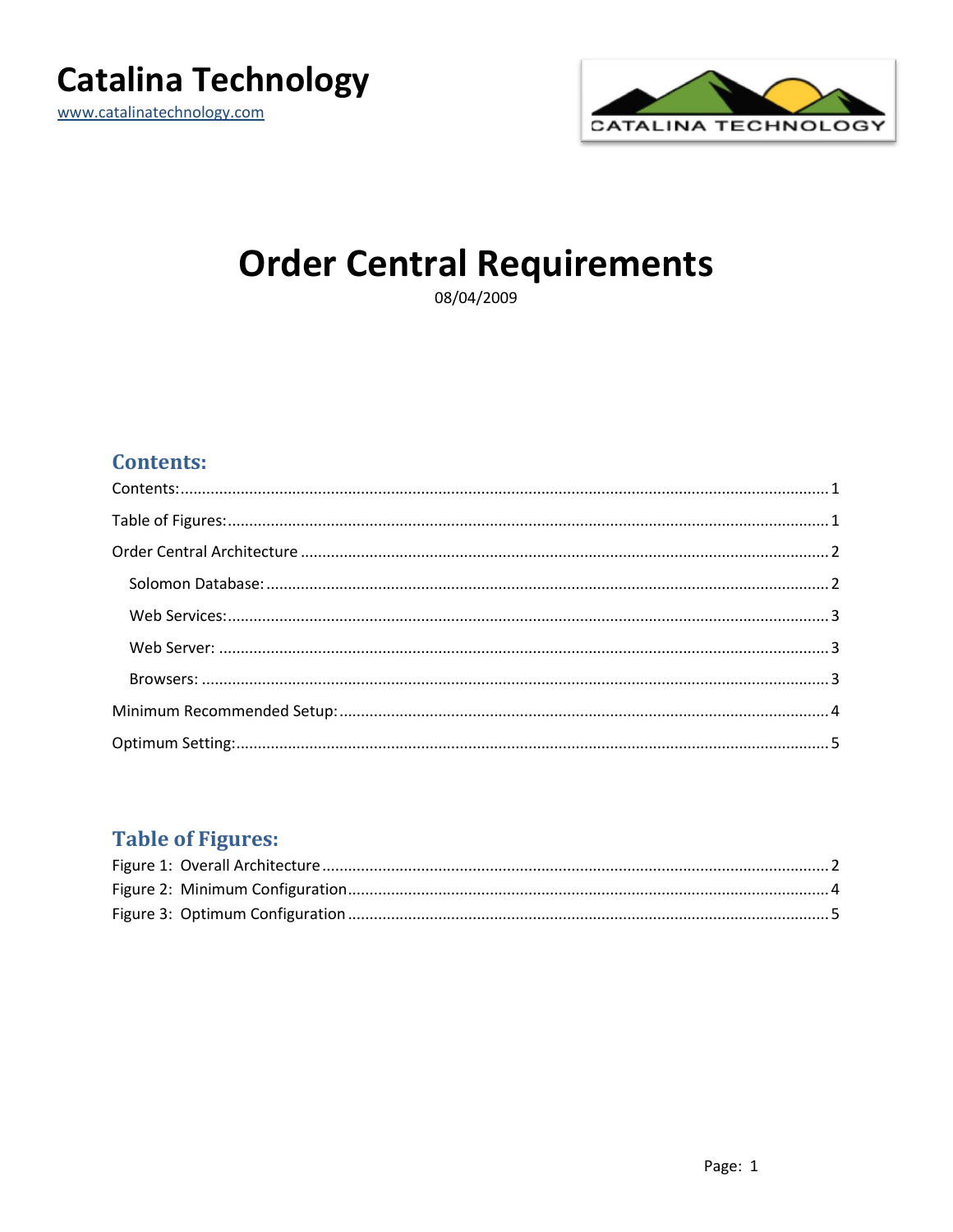

www.catalinatechnology.com



# **Order Central Requirements**

08/04/2009

## <span id="page-0-0"></span>**Contents:**

## <span id="page-0-1"></span>**Table of Figures:**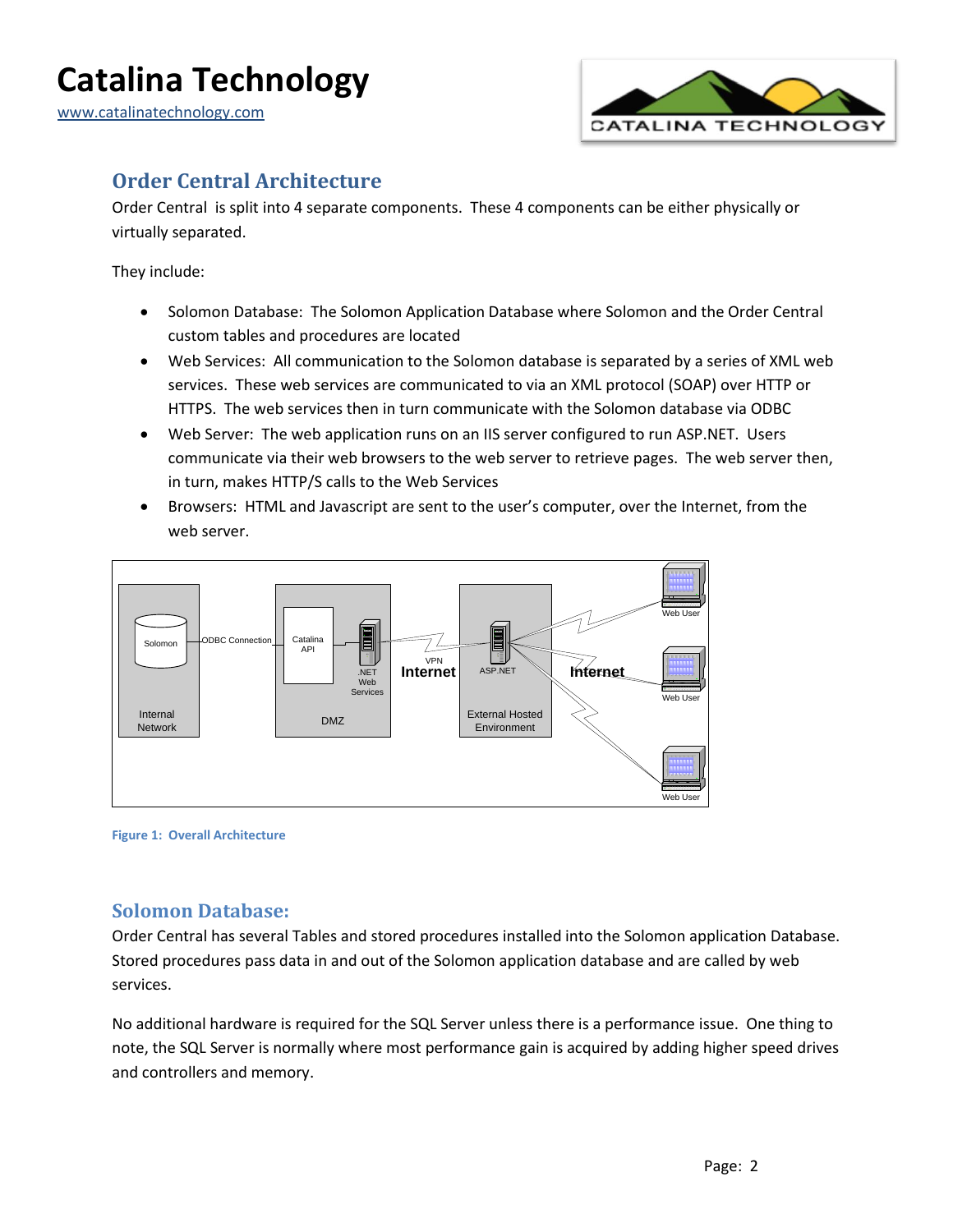

## <span id="page-1-0"></span>**Order Central Architecture**

Order Central is split into 4 separate components. These 4 components can be either physically or virtually separated.

They include:

- Solomon Database: The Solomon Application Database where Solomon and the Order Central custom tables and procedures are located
- Web Services: All communication to the Solomon database is separated by a series of XML web services. These web services are communicated to via an XML protocol (SOAP) over HTTP or HTTPS. The web services then in turn communicate with the Solomon database via ODBC
- Web Server: The web application runs on an IIS server configured to run ASP.NET. Users communicate via their web browsers to the web server to retrieve pages. The web server then, in turn, makes HTTP/S calls to the Web Services
- Browsers: HTML and Javascript are sent to the user's computer, over the Internet, from the web server.



<span id="page-1-2"></span>**Figure 1: Overall Architecture**

### <span id="page-1-1"></span>**Solomon Database:**

Order Central has several Tables and stored procedures installed into the Solomon application Database. Stored procedures pass data in and out of the Solomon application database and are called by web services.

No additional hardware is required for the SQL Server unless there is a performance issue. One thing to note, the SQL Server is normally where most performance gain is acquired by adding higher speed drives and controllers and memory.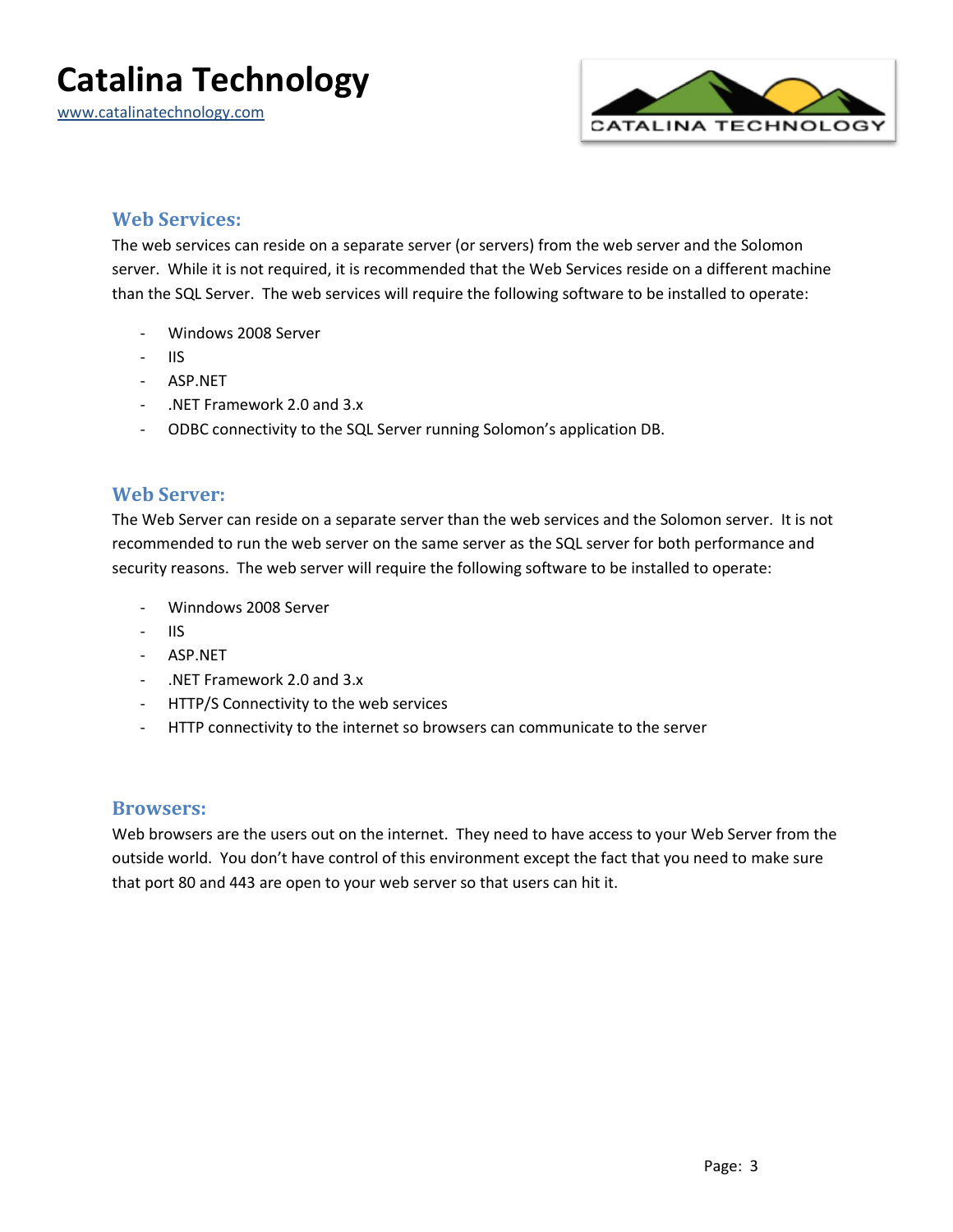www.catalinatechnology.com



#### <span id="page-2-0"></span>**Web Services:**

The web services can reside on a separate server (or servers) from the web server and the Solomon server. While it is not required, it is recommended that the Web Services reside on a different machine than the SQL Server. The web services will require the following software to be installed to operate:

- Windows 2008 Server
- IIS
- ASP.NET
- .NET Framework 2.0 and 3.x
- ODBC connectivity to the SQL Server running Solomon's application DB.

#### <span id="page-2-1"></span>**Web Server:**

The Web Server can reside on a separate server than the web services and the Solomon server. It is not recommended to run the web server on the same server as the SQL server for both performance and security reasons. The web server will require the following software to be installed to operate:

- Winndows 2008 Server
- $-$  IIS
- ASP.NET
- .NET Framework 2.0 and 3.x
- HTTP/S Connectivity to the web services
- HTTP connectivity to the internet so browsers can communicate to the server

#### <span id="page-2-2"></span>**Browsers:**

Web browsers are the users out on the internet. They need to have access to your Web Server from the outside world. You don't have control of this environment except the fact that you need to make sure that port 80 and 443 are open to your web server so that users can hit it.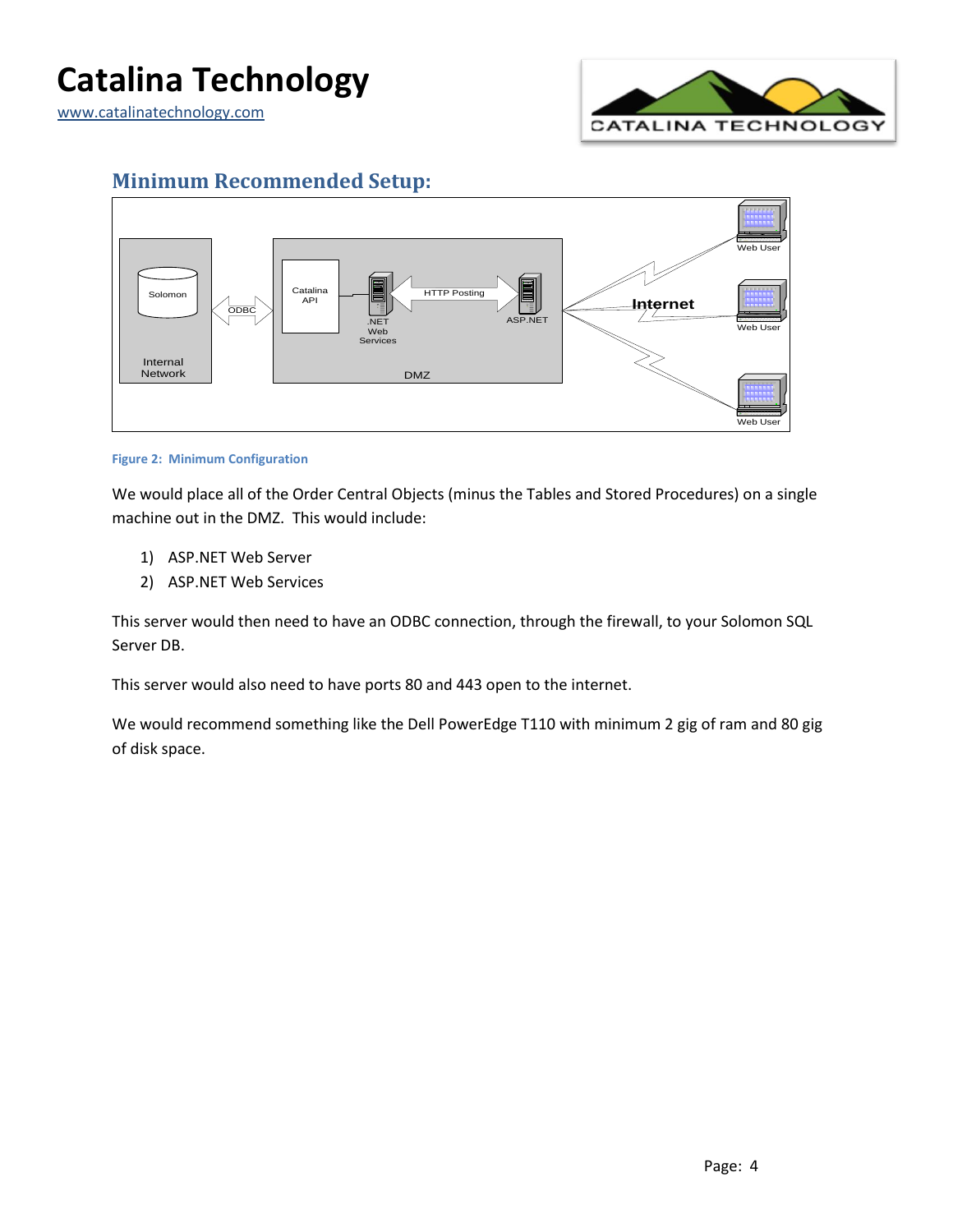www.catalinatechnology.com



### <span id="page-3-0"></span>**Minimum Recommended Setup:**



#### <span id="page-3-1"></span>**Figure 2: Minimum Configuration**

We would place all of the Order Central Objects (minus the Tables and Stored Procedures) on a single machine out in the DMZ. This would include:

- 1) ASP.NET Web Server
- 2) ASP.NET Web Services

This server would then need to have an ODBC connection, through the firewall, to your Solomon SQL Server DB.

This server would also need to have ports 80 and 443 open to the internet.

We would recommend something like the Dell PowerEdge T110 with minimum 2 gig of ram and 80 gig of disk space.